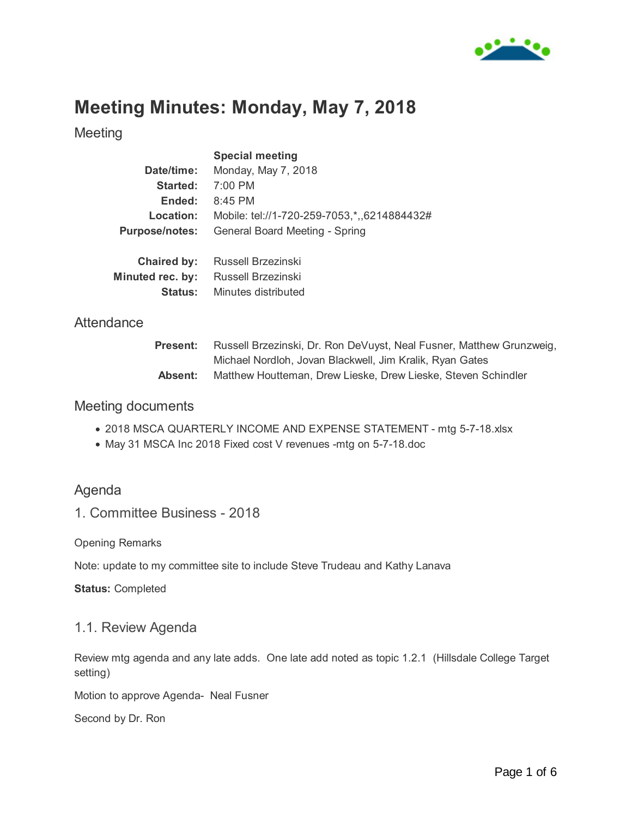

# **Meeting Minutes: Monday, May 7, 2018**

**Status:** Minutes distributed

Meeting

|                       | <b>Special meeting</b>                      |
|-----------------------|---------------------------------------------|
| Date/time:            | Monday, May 7, 2018                         |
| Started:              | 7:00 PM                                     |
| Ended:                | 8:45 PM                                     |
| Location:             | Mobile: tel://1-720-259-7053,*,,6214884432# |
| <b>Purpose/notes:</b> | General Board Meeting - Spring              |
|                       |                                             |
| Chaired by:           | Russell Brzezinski                          |
| Minuted rec. by:      | Russell Brzezinski                          |
|                       |                                             |

#### **Attendance**

| <b>Present:</b> | Russell Brzezinski, Dr. Ron DeVuyst, Neal Fusner, Matthew Grunzweig, |
|-----------------|----------------------------------------------------------------------|
|                 | Michael Nordloh, Jovan Blackwell, Jim Kralik, Ryan Gates             |
| Absent:         | Matthew Houtteman, Drew Lieske, Drew Lieske, Steven Schindler        |

#### Meeting documents

- 2018 MSCA QUARTERLY INCOME AND EXPENSE STATEMENT mtg 5-7-18.xlsx
- May 31 MSCA Inc 2018 Fixed cost V revenues -mtg on 5-7-18.doc

# Agenda

1. Committee Business - 2018

Opening Remarks

Note: update to my committee site to include Steve Trudeau and Kathy Lanava

**Status:** Completed

#### 1.1. Review Agenda

Review mtg agenda and any late adds. One late add noted as topic 1.2.1 (Hillsdale College Target setting)

Motion to approve Agenda- Neal Fusner

Second by Dr. Ron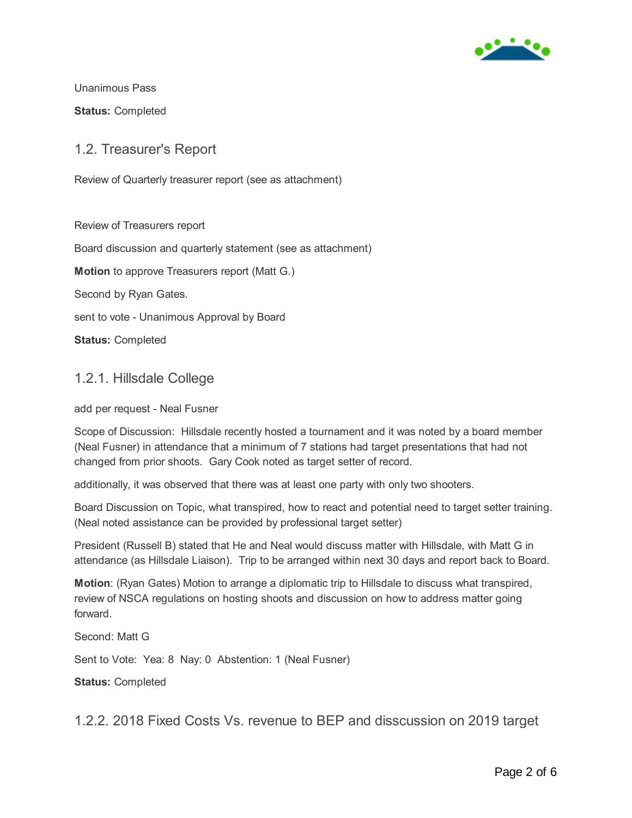

Unanimous Pass

**Status:** Completed

### 1.2. Treasurer's Report

Review of Quarterly treasurer report (see as attachment)

Review of Treasurers report Board discussion and quarterly statement (see as attachment) **Motion** to approve Treasurers report (Matt G.) Second by Ryan Gates. sent to vote - Unanimous Approval by Board **Status:** Completed

### 1.2.1. Hillsdale College

add per request - Neal Fusner

Scope of Discussion: Hillsdale recently hosted a tournament and it was noted by a board member (Neal Fusner) in attendance that a minimum of 7 stations had target presentations that had not changed from prior shoots. Gary Cook noted as target setter of record.

additionally, it was observed that there was at least one party with only two shooters.

Board Discussion on Topic, what transpired, how to react and potential need to target setter training. (Neal noted assistance can be provided by professional target setter)

President (Russell B) stated that He and Neal would discuss matter with Hillsdale, with Matt G in attendance (as Hillsdale Liaison). Trip to be arranged within next 30 days and report back to Board.

**Motion**: (Ryan Gates) Motion to arrange a diplomatic trip to Hillsdale to discuss what transpired, review of NSCA regulations on hosting shoots and discussion on how to address matter going forward.

Second: Matt G

Sent to Vote: Yea: 8 Nay: 0 Abstention: 1 (Neal Fusner)

**Status:** Completed

1.2.2. 2018 Fixed Costs Vs. revenue to BEP and disscussion on 2019 target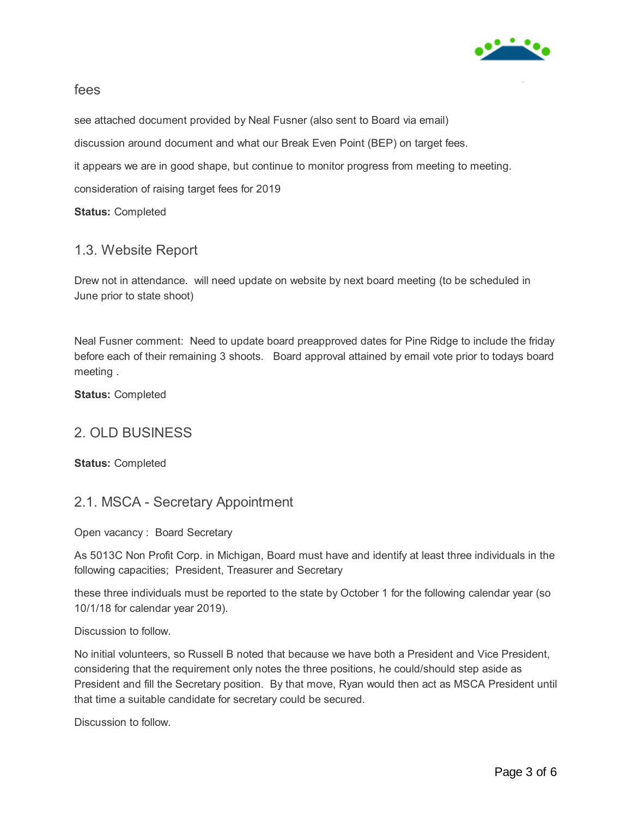

#### fees

see attached document provided by Neal Fusner (also sent to Board via email)

discussion around document and what our Break Even Point (BEP) on target fees.

it appears we are in good shape, but continue to monitor progress from meeting to meeting.

consideration of raising target fees for 2019

**Status:** Completed

# 1.3. Website Report

Drew not in attendance. will need update on website by next board meeting (to be scheduled in June prior to state shoot)

Neal Fusner comment: Need to update board preapproved dates for Pine Ridge to include the friday before each of their remaining 3 shoots. Board approval attained by email vote prior to todays board meeting .

**Status:** Completed

# 2. OLD BUSINESS

**Status:** Completed

# 2.1. MSCA - Secretary Appointment

Open vacancy : Board Secretary

As 5013C Non Profit Corp. in Michigan, Board must have and identify at least three individuals in the following capacities; President, Treasurer and Secretary

these three individuals must be reported to the state by October 1 for the following calendar year (so 10/1/18 for calendar year 2019).

Discussion to follow.

No initial volunteers, so Russell B noted that because we have both a President and Vice President, considering that the requirement only notes the three positions, he could/should step aside as President and fill the Secretary position. By that move, Ryan would then act as MSCA President until that time a suitable candidate for secretary could be secured.

Discussion to follow.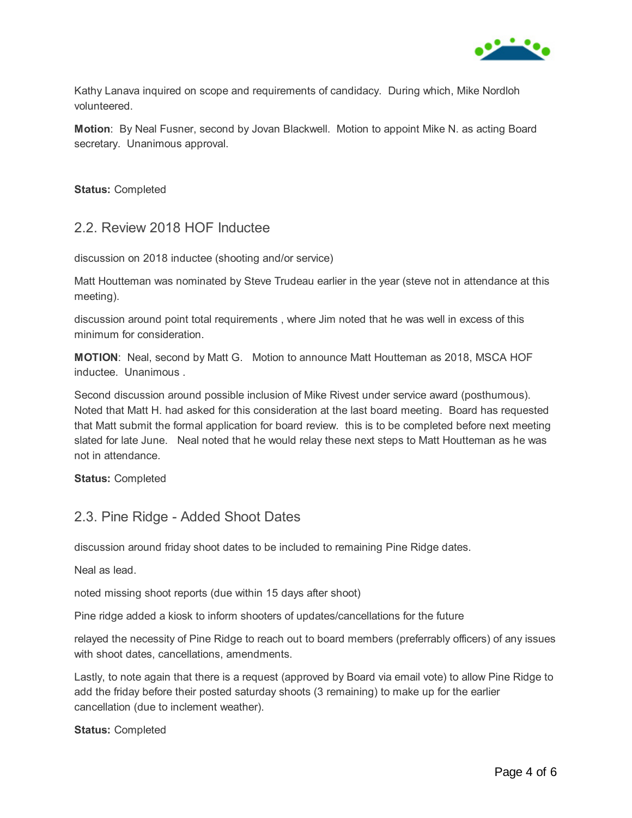

Kathy Lanava inquired on scope and requirements of candidacy. During which, Mike Nordloh volunteered.

**Motion**: By Neal Fusner, second by Jovan Blackwell. Motion to appoint Mike N. as acting Board secretary. Unanimous approval.

**Status:** Completed

### 2.2. Review 2018 HOF Inductee

discussion on 2018 inductee (shooting and/or service)

Matt Houtteman was nominated by Steve Trudeau earlier in the year (steve not in attendance at this meeting).

discussion around point total requirements , where Jim noted that he was well in excess of this minimum for consideration.

**MOTION**: Neal, second by Matt G. Motion to announce Matt Houtteman as 2018, MSCA HOF inductee. Unanimous .

Second discussion around possible inclusion of Mike Rivest under service award (posthumous). Noted that Matt H. had asked for this consideration at the last board meeting. Board has requested that Matt submit the formal application for board review. this is to be completed before next meeting slated for late June. Neal noted that he would relay these next steps to Matt Houtteman as he was not in attendance.

**Status:** Completed

### 2.3. Pine Ridge - Added Shoot Dates

discussion around friday shoot dates to be included to remaining Pine Ridge dates.

Neal as lead.

noted missing shoot reports (due within 15 days after shoot)

Pine ridge added a kiosk to inform shooters of updates/cancellations for the future

relayed the necessity of Pine Ridge to reach out to board members (preferrably officers) of any issues with shoot dates, cancellations, amendments.

Lastly, to note again that there is a request (approved by Board via email vote) to allow Pine Ridge to add the friday before their posted saturday shoots (3 remaining) to make up for the earlier cancellation (due to inclement weather).

**Status:** Completed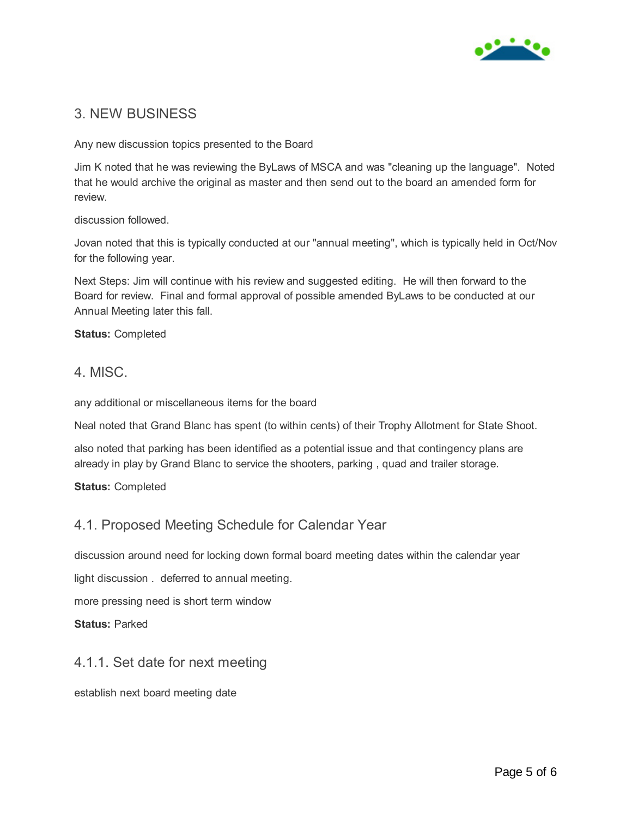

### 3. NEW BUSINESS

Any new discussion topics presented to the Board

Jim K noted that he was reviewing the ByLaws of MSCA and was "cleaning up the language". Noted that he would archive the original as master and then send out to the board an amended form for review.

discussion followed.

Jovan noted that this is typically conducted at our "annual meeting", which is typically held in Oct/Nov for the following year.

Next Steps: Jim will continue with his review and suggested editing. He will then forward to the Board for review. Final and formal approval of possible amended ByLaws to be conducted at our Annual Meeting later this fall.

#### **Status:** Completed

#### 4. MISC.

any additional or miscellaneous items for the board

Neal noted that Grand Blanc has spent (to within cents) of their Trophy Allotment for State Shoot.

also noted that parking has been identified as a potential issue and that contingency plans are already in play by Grand Blanc to service the shooters, parking , quad and trailer storage.

#### **Status:** Completed

### 4.1. Proposed Meeting Schedule for Calendar Year

discussion around need for locking down formal board meeting dates within the calendar year

light discussion . deferred to annual meeting.

more pressing need is short term window

**Status:** Parked

#### 4.1.1. Set date for next meeting

establish next board meeting date